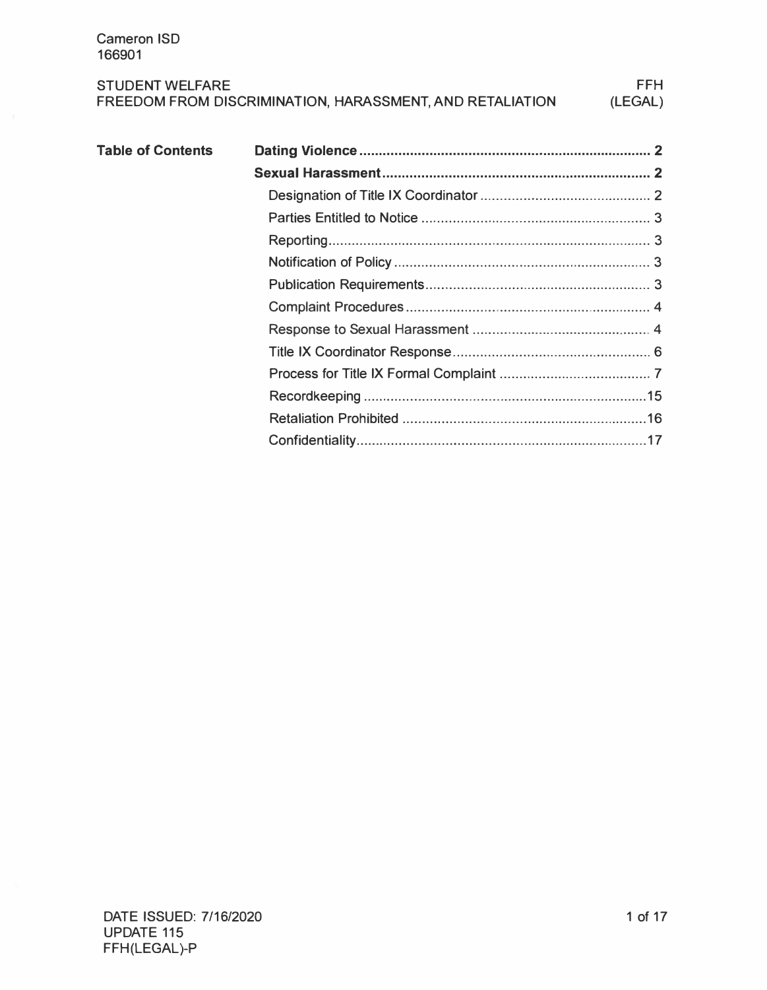| <b>STUDENT WELFARE</b>                                   | <b>FFH</b> |
|----------------------------------------------------------|------------|
| FREEDOM FROM DISCRIMINATION, HARASSMENT, AND RETALIATION | (LEGAL)    |

| <b>Table of Contents</b> |  |
|--------------------------|--|
|                          |  |
|                          |  |
|                          |  |
|                          |  |
|                          |  |
|                          |  |
|                          |  |
|                          |  |
|                          |  |
|                          |  |
|                          |  |
|                          |  |
|                          |  |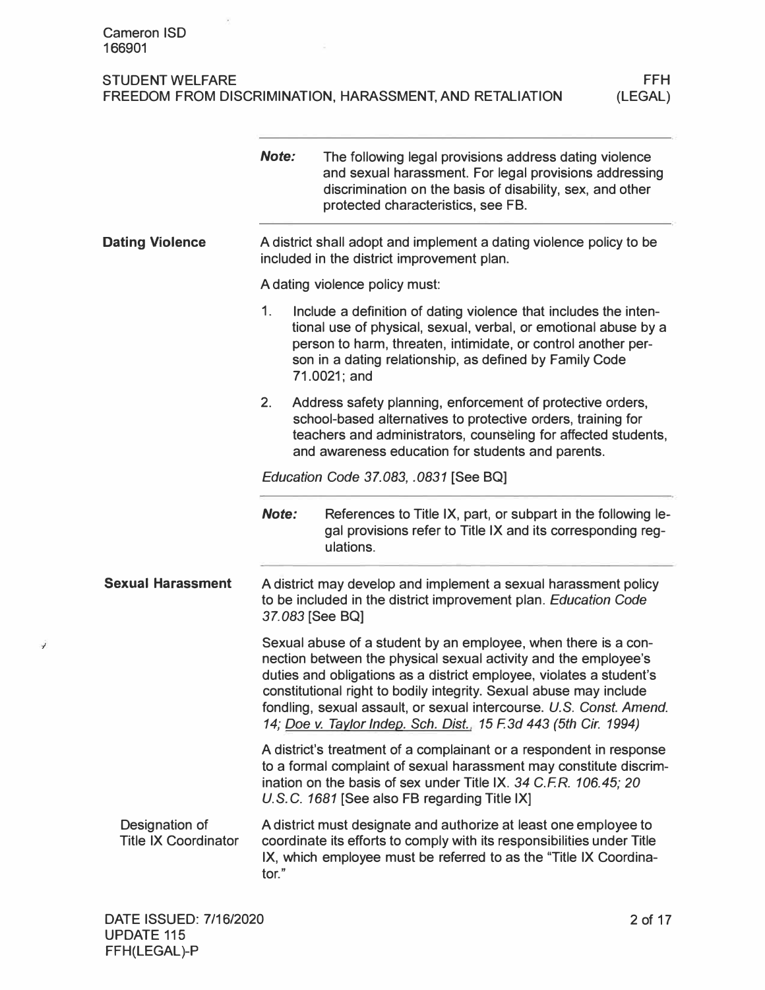|                                               | Note:                                 | The following legal provisions address dating violence<br>and sexual harassment. For legal provisions addressing<br>discrimination on the basis of disability, sex, and other<br>protected characteristics, see FB.                                                                                                                                                                                                       |  |
|-----------------------------------------------|---------------------------------------|---------------------------------------------------------------------------------------------------------------------------------------------------------------------------------------------------------------------------------------------------------------------------------------------------------------------------------------------------------------------------------------------------------------------------|--|
| <b>Dating Violence</b>                        |                                       | A district shall adopt and implement a dating violence policy to be<br>included in the district improvement plan.                                                                                                                                                                                                                                                                                                         |  |
|                                               |                                       | A dating violence policy must:                                                                                                                                                                                                                                                                                                                                                                                            |  |
|                                               | 1.                                    | Include a definition of dating violence that includes the inten-<br>tional use of physical, sexual, verbal, or emotional abuse by a<br>person to harm, threaten, intimidate, or control another per-<br>son in a dating relationship, as defined by Family Code<br>71.0021; and                                                                                                                                           |  |
|                                               | 2.                                    | Address safety planning, enforcement of protective orders,<br>school-based alternatives to protective orders, training for<br>teachers and administrators, counseling for affected students,<br>and awareness education for students and parents.                                                                                                                                                                         |  |
|                                               | Education Code 37.083, .0831 [See BQ] |                                                                                                                                                                                                                                                                                                                                                                                                                           |  |
|                                               | <b>Note:</b>                          | References to Title IX, part, or subpart in the following le-<br>gal provisions refer to Title IX and its corresponding reg-<br>ulations.                                                                                                                                                                                                                                                                                 |  |
| <b>Sexual Harassment</b>                      |                                       | A district may develop and implement a sexual harassment policy<br>to be included in the district improvement plan. Education Code<br>37.083 [See BQ]                                                                                                                                                                                                                                                                     |  |
|                                               |                                       | Sexual abuse of a student by an employee, when there is a con-<br>nection between the physical sexual activity and the employee's<br>duties and obligations as a district employee, violates a student's<br>constitutional right to bodily integrity. Sexual abuse may include<br>fondling, sexual assault, or sexual intercourse. U.S. Const. Amend.<br>14; Doe v. Taylor Indep. Sch. Dist., 15 F.3d 443 (5th Cir. 1994) |  |
|                                               |                                       | A district's treatment of a complainant or a respondent in response<br>to a formal complaint of sexual harassment may constitute discrim-<br>ination on the basis of sex under Title IX. 34 C.F.R. 106.45; 20<br>U.S.C. 1681 [See also FB regarding Title IX]                                                                                                                                                             |  |
| Designation of<br><b>Title IX Coordinator</b> | tor."                                 | A district must designate and authorize at least one employee to<br>coordinate its efforts to comply with its responsibilities under Title<br>IX, which employee must be referred to as the "Title IX Coordina-                                                                                                                                                                                                           |  |

Ĵ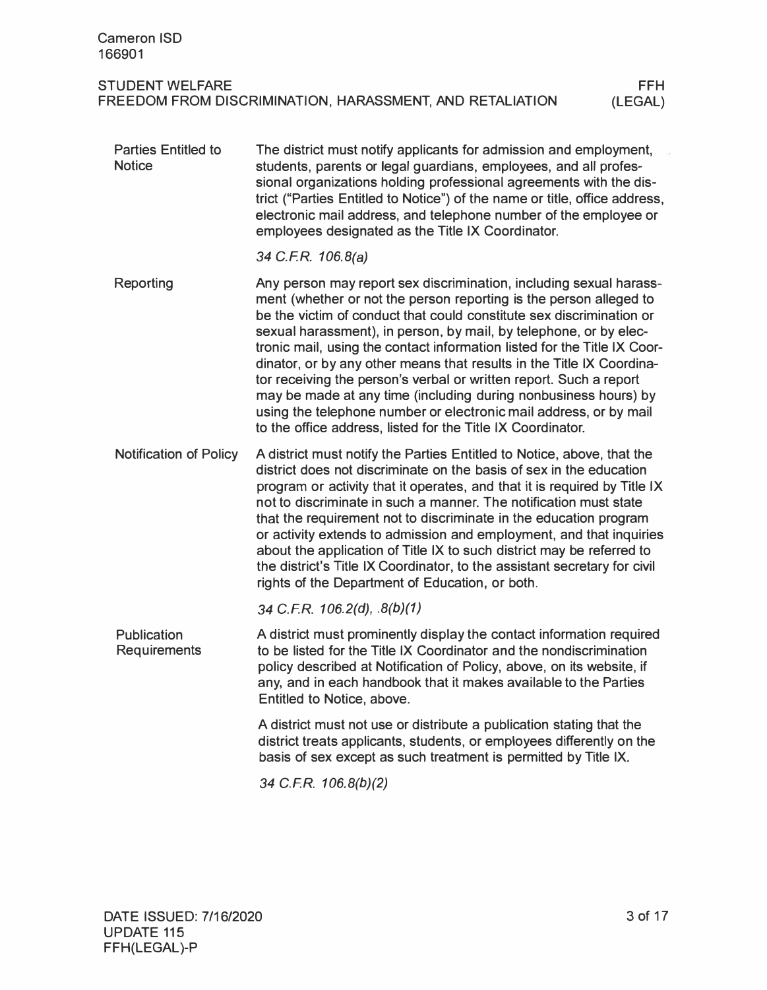| <b>Cameron ISD</b><br>166901                |                                                                                                                                                                                                                                                                                                                                                                                                                                                                                                                                                                                                                                                                                                                         |                       |
|---------------------------------------------|-------------------------------------------------------------------------------------------------------------------------------------------------------------------------------------------------------------------------------------------------------------------------------------------------------------------------------------------------------------------------------------------------------------------------------------------------------------------------------------------------------------------------------------------------------------------------------------------------------------------------------------------------------------------------------------------------------------------------|-----------------------|
| <b>STUDENT WELFARE</b>                      | FREEDOM FROM DISCRIMINATION, HARASSMENT, AND RETALIATION                                                                                                                                                                                                                                                                                                                                                                                                                                                                                                                                                                                                                                                                | <b>FFH</b><br>(LEGAL) |
| <b>Parties Entitled to</b><br><b>Notice</b> | The district must notify applicants for admission and employment,<br>students, parents or legal guardians, employees, and all profes-<br>sional organizations holding professional agreements with the dis-<br>trict ("Parties Entitled to Notice") of the name or title, office address,<br>electronic mail address, and telephone number of the employee or<br>employees designated as the Title IX Coordinator.                                                                                                                                                                                                                                                                                                      |                       |
|                                             | 34 C.F.R. 106.8(a)                                                                                                                                                                                                                                                                                                                                                                                                                                                                                                                                                                                                                                                                                                      |                       |
| Reporting                                   | Any person may report sex discrimination, including sexual harass-<br>ment (whether or not the person reporting is the person alleged to<br>be the victim of conduct that could constitute sex discrimination or<br>sexual harassment), in person, by mail, by telephone, or by elec-<br>tronic mail, using the contact information listed for the Title IX Coor-<br>dinator, or by any other means that results in the Title IX Coordina-<br>tor receiving the person's verbal or written report. Such a report<br>may be made at any time (including during nonbusiness hours) by<br>using the telephone number or electronic mail address, or by mail<br>to the office address, listed for the Title IX Coordinator. |                       |
| <b>Notification of Policy</b>               | A district must notify the Parties Entitled to Notice, above, that the<br>district does not discriminate on the basis of sex in the education<br>program or activity that it operates, and that it is required by Title IX<br>not to discriminate in such a manner. The notification must state<br>that the requirement not to discriminate in the education program<br>or activity extends to admission and employment, and that inquiries<br>about the application of Title IX to such district may be referred to<br>the district's Title IX Coordinator, to the assistant secretary for civil<br>rights of the Department of Education, or both.                                                                    |                       |
|                                             | 34 C.F.R. 106.2(d), $.8(b)(1)$                                                                                                                                                                                                                                                                                                                                                                                                                                                                                                                                                                                                                                                                                          |                       |
| Publication<br><b>Requirements</b>          | A district must prominently display the contact information required<br>to be listed for the Title IX Coordinator and the nondiscrimination<br>policy described at Notification of Policy, above, on its website, if<br>any, and in each handbook that it makes available to the Parties<br>Entitled to Notice, above.                                                                                                                                                                                                                                                                                                                                                                                                  |                       |
|                                             | A district must not use or distribute a publication stating that the<br>district treats applicants, students, or employees differently on the<br>basis of sex except as such treatment is permitted by Title IX.                                                                                                                                                                                                                                                                                                                                                                                                                                                                                                        |                       |
|                                             | 34 C.F.R. 106.8(b)(2)                                                                                                                                                                                                                                                                                                                                                                                                                                                                                                                                                                                                                                                                                                   |                       |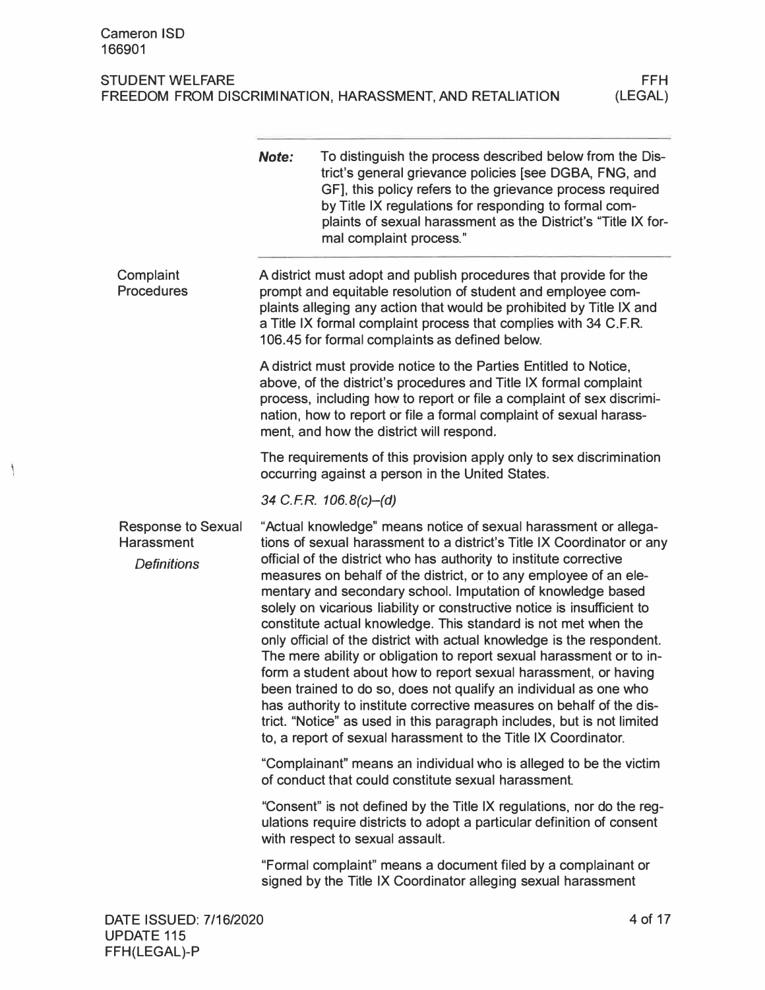$\mathbf{I}$ 

|                                                                      | Note: | To distinguish the process described below from the Dis-<br>trict's general grievance policies [see DGBA, FNG, and<br>GF], this policy refers to the grievance process required<br>by Title IX regulations for responding to formal com-<br>plaints of sexual harassment as the District's "Title IX for-<br>mal complaint process."                                                                                                                                                                                                                                                                                                                                                                                                                                                                                                                                                                                                                                                                          |
|----------------------------------------------------------------------|-------|---------------------------------------------------------------------------------------------------------------------------------------------------------------------------------------------------------------------------------------------------------------------------------------------------------------------------------------------------------------------------------------------------------------------------------------------------------------------------------------------------------------------------------------------------------------------------------------------------------------------------------------------------------------------------------------------------------------------------------------------------------------------------------------------------------------------------------------------------------------------------------------------------------------------------------------------------------------------------------------------------------------|
| Complaint<br><b>Procedures</b>                                       |       | A district must adopt and publish procedures that provide for the<br>prompt and equitable resolution of student and employee com-<br>plaints alleging any action that would be prohibited by Title IX and<br>a Title IX formal complaint process that complies with 34 C.F.R.<br>106.45 for formal complaints as defined below.                                                                                                                                                                                                                                                                                                                                                                                                                                                                                                                                                                                                                                                                               |
|                                                                      |       | A district must provide notice to the Parties Entitled to Notice,<br>above, of the district's procedures and Title IX formal complaint<br>process, including how to report or file a complaint of sex discrimi-<br>nation, how to report or file a formal complaint of sexual harass-<br>ment, and how the district will respond.                                                                                                                                                                                                                                                                                                                                                                                                                                                                                                                                                                                                                                                                             |
|                                                                      |       | The requirements of this provision apply only to sex discrimination<br>occurring against a person in the United States.                                                                                                                                                                                                                                                                                                                                                                                                                                                                                                                                                                                                                                                                                                                                                                                                                                                                                       |
|                                                                      |       | 34 C.F.R. 106.8(c)-(d)                                                                                                                                                                                                                                                                                                                                                                                                                                                                                                                                                                                                                                                                                                                                                                                                                                                                                                                                                                                        |
| <b>Response to Sexual</b><br><b>Harassment</b><br><b>Definitions</b> |       | "Actual knowledge" means notice of sexual harassment or allega-<br>tions of sexual harassment to a district's Title IX Coordinator or any<br>official of the district who has authority to institute corrective<br>measures on behalf of the district, or to any employee of an ele-<br>mentary and secondary school. Imputation of knowledge based<br>solely on vicarious liability or constructive notice is insufficient to<br>constitute actual knowledge. This standard is not met when the<br>only official of the district with actual knowledge is the respondent.<br>The mere ability or obligation to report sexual harassment or to in-<br>form a student about how to report sexual harassment, or having<br>been trained to do so, does not qualify an individual as one who<br>has authority to institute corrective measures on behalf of the dis-<br>trict. "Notice" as used in this paragraph includes, but is not limited<br>to, a report of sexual harassment to the Title IX Coordinator. |
|                                                                      |       | "Complainant" means an individual who is alleged to be the victim<br>of conduct that could constitute sexual harassment.                                                                                                                                                                                                                                                                                                                                                                                                                                                                                                                                                                                                                                                                                                                                                                                                                                                                                      |
|                                                                      |       | "Consent" is not defined by the Title IX regulations, nor do the reg-<br>ulations require districts to adopt a particular definition of consent<br>with respect to sexual assault.                                                                                                                                                                                                                                                                                                                                                                                                                                                                                                                                                                                                                                                                                                                                                                                                                            |
|                                                                      |       | "Formal complaint" means a document filed by a complainant or<br>signed by the Title IX Coordinator alleging sexual harassment                                                                                                                                                                                                                                                                                                                                                                                                                                                                                                                                                                                                                                                                                                                                                                                                                                                                                |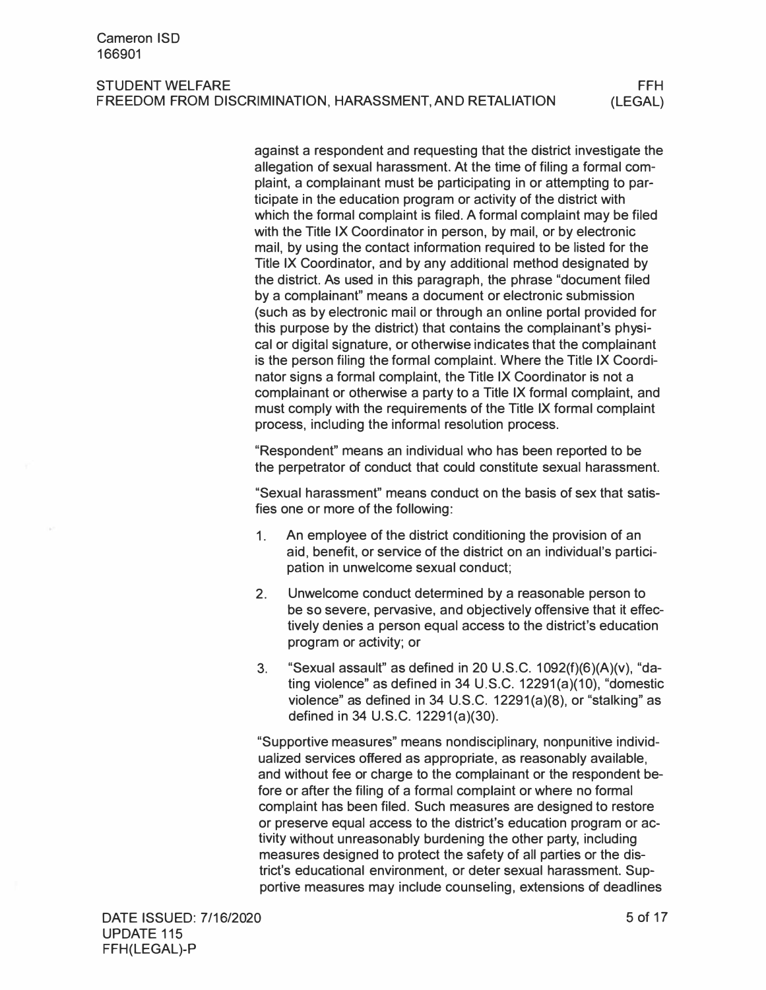against a respondent and requesting that the district investigate the allegation of sexual harassment. At the time of filing a formal complaint, a complainant must be participating in or attempting to participate in the education program or activity of the district with which the formal complaint is filed. A formal complaint may be filed with the Title IX Coordinator in person, by mail, or by electronic mail, by using the contact information required to be listed for the Title IX Coordinator, and by any additional method designated by the district. As used in this paragraph, the phrase "document filed by a complainant" means a document or electronic submission (such as by electronic mail or through an online portal provided for this purpose by the district) that contains the complainant's physical or digital signature, or otherwise indicates that the complainant is the person filing the formal complaint. Where the Title IX Coordinator signs a formal complaint, the Title IX Coordinator is not a complainant or otherwise a party to a Title IX formal complaint, and must comply with the requirements of the Title IX formal complaint process, including the informal resolution process.

"Respondent" means an individual who has been reported to be the perpetrator of conduct that could constitute sexual harassment.

"Sexual harassment" means conduct on the basis of sex that satisfies one or more of the following:

- 1. An employee of the district conditioning the provision of an aid, benefit, or service of the district on an individual's participation in unwelcome sexual conduct;
- 2. Unwelcome conduct determined by a reasonable person to be so severe, pervasive, and objectively offensive that it effectively denies a person equal access to the district's education program or activity; or
- 3. "Sexual assault" as defined in 20 U.S.C. 1092(f)(6)(A)(v), "dating violence" as defined in 34 U.S.C. 12291(a)(10), "domestic violence" as defined in 34 U.S.C. 12291(a)(8), or "stalking" as defined in 34 U.S.C. 12291(a)(30).

"Supportive measures" means nondisciplinary, nonpunitive individualized services offered as appropriate, as reasonably available, and without fee or charge to the complainant or the respondent before or after the filing of a formal complaint or where no formal complaint has been filed. Such measures are designed to restore or preserve equal access to the district's education program or activity without unreasonably burdening the other party, including measures designed to protect the safety of all parties or the district's educational environment, or deter sexual harassment. Supportive measures may include counseling, extensions of deadlines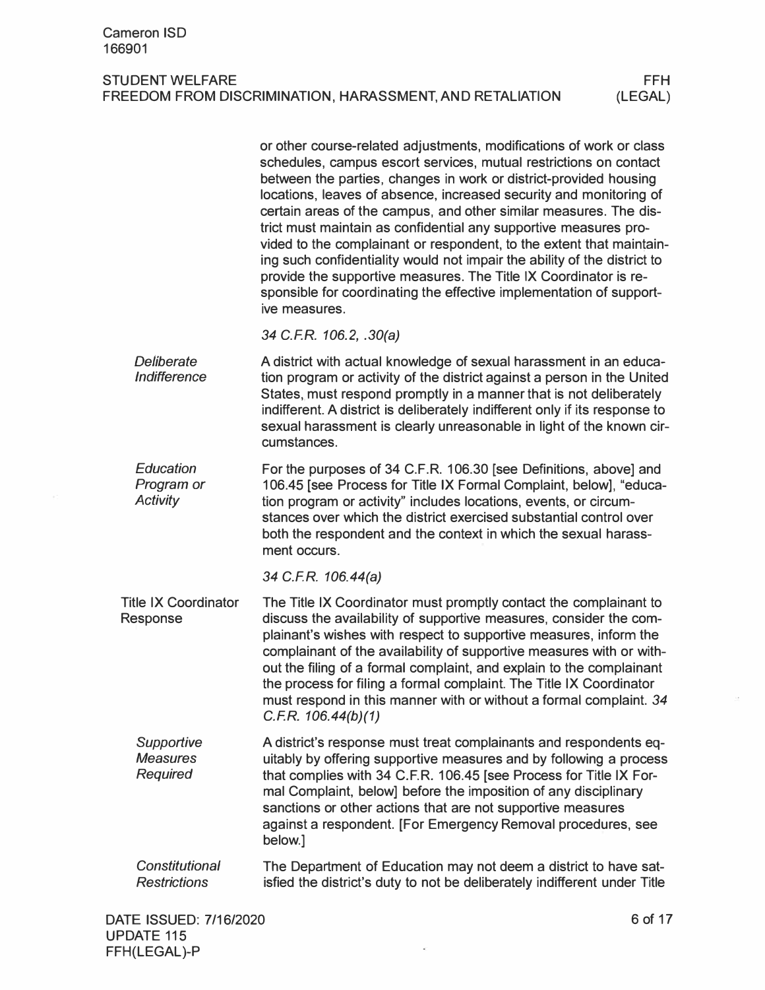|                                                  | or other course-related adjustments, modifications of work or class<br>schedules, campus escort services, mutual restrictions on contact<br>between the parties, changes in work or district-provided housing<br>locations, leaves of absence, increased security and monitoring of<br>certain areas of the campus, and other similar measures. The dis-<br>trict must maintain as confidential any supportive measures pro-<br>vided to the complainant or respondent, to the extent that maintain-<br>ing such confidentiality would not impair the ability of the district to<br>provide the supportive measures. The Title IX Coordinator is re-<br>sponsible for coordinating the effective implementation of support-<br>ive measures. |
|--------------------------------------------------|----------------------------------------------------------------------------------------------------------------------------------------------------------------------------------------------------------------------------------------------------------------------------------------------------------------------------------------------------------------------------------------------------------------------------------------------------------------------------------------------------------------------------------------------------------------------------------------------------------------------------------------------------------------------------------------------------------------------------------------------|
|                                                  | 34 C.F.R. 106.2, .30(a)                                                                                                                                                                                                                                                                                                                                                                                                                                                                                                                                                                                                                                                                                                                      |
| Deliberate<br><b>Indifference</b>                | A district with actual knowledge of sexual harassment in an educa-<br>tion program or activity of the district against a person in the United<br>States, must respond promptly in a manner that is not deliberately<br>indifferent. A district is deliberately indifferent only if its response to<br>sexual harassment is clearly unreasonable in light of the known cir-<br>cumstances.                                                                                                                                                                                                                                                                                                                                                    |
| Education<br>Program or<br>Activity              | For the purposes of 34 C.F.R. 106.30 [see Definitions, above] and<br>106.45 [see Process for Title IX Formal Complaint, below], "educa-<br>tion program or activity" includes locations, events, or circum-<br>stances over which the district exercised substantial control over<br>both the respondent and the context in which the sexual harass-<br>ment occurs.                                                                                                                                                                                                                                                                                                                                                                         |
|                                                  | 34 C.F.R. 106.44(a)                                                                                                                                                                                                                                                                                                                                                                                                                                                                                                                                                                                                                                                                                                                          |
| <b>Title IX Coordinator</b><br>Response          | The Title IX Coordinator must promptly contact the complainant to<br>discuss the availability of supportive measures, consider the com-<br>plainant's wishes with respect to supportive measures, inform the<br>complainant of the availability of supportive measures with or with-<br>out the filing of a formal complaint, and explain to the complainant<br>the process for filing a formal complaint. The Title IX Coordinator<br>must respond in this manner with or without a formal complaint. 34<br>C.F.R. 106.44(b)(1)                                                                                                                                                                                                             |
| Supportive<br><b>Measures</b><br><b>Required</b> | A district's response must treat complainants and respondents eq-<br>uitably by offering supportive measures and by following a process<br>that complies with 34 C.F.R. 106.45 [see Process for Title IX For-<br>mal Complaint, below] before the imposition of any disciplinary<br>sanctions or other actions that are not supportive measures<br>against a respondent. [For Emergency Removal procedures, see<br>below.]                                                                                                                                                                                                                                                                                                                   |
| <b>Constitutional</b><br><b>Restrictions</b>     | The Department of Education may not deem a district to have sat-<br>isfied the district's duty to not be deliberately indifferent under Title                                                                                                                                                                                                                                                                                                                                                                                                                                                                                                                                                                                                |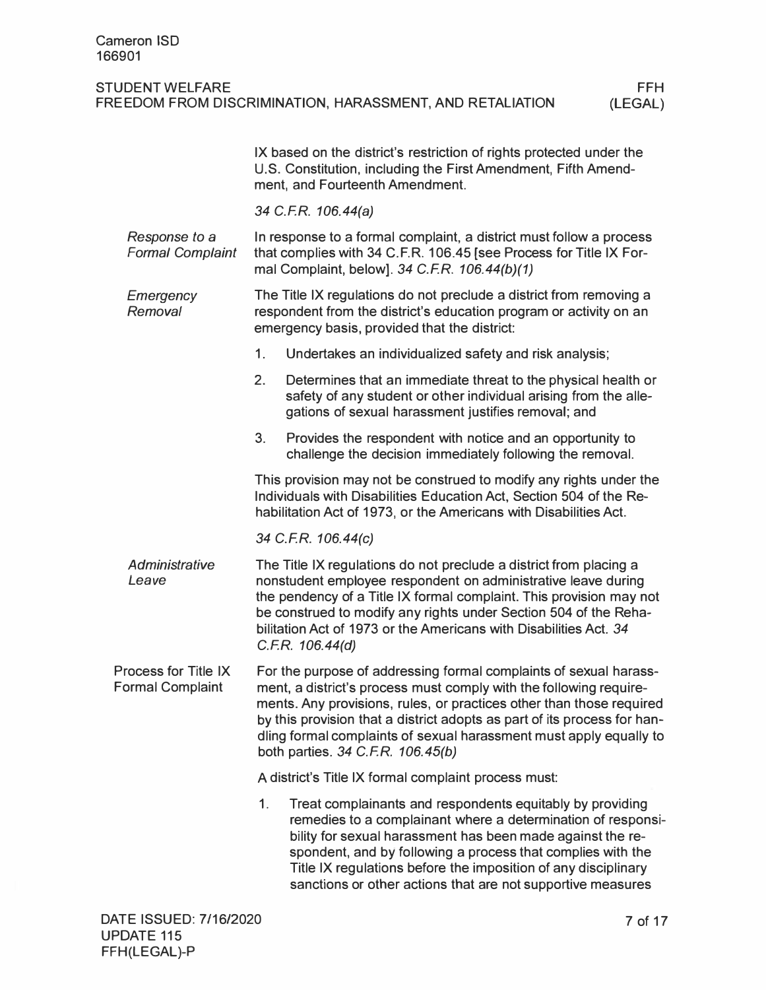|                                                 | IX based on the district's restriction of rights protected under the<br>U.S. Constitution, including the First Amendment, Fifth Amend-<br>ment, and Fourteenth Amendment.                                                                                                                                                                                                                              |
|-------------------------------------------------|--------------------------------------------------------------------------------------------------------------------------------------------------------------------------------------------------------------------------------------------------------------------------------------------------------------------------------------------------------------------------------------------------------|
|                                                 | 34 C.F.R. 106.44(a)                                                                                                                                                                                                                                                                                                                                                                                    |
| Response to a<br><b>Formal Complaint</b>        | In response to a formal complaint, a district must follow a process<br>that complies with 34 C.F.R. 106.45 [see Process for Title IX For-<br>mal Complaint, below]. 34 C.F.R. 106.44(b)(1)                                                                                                                                                                                                             |
| Emergency<br>Removal                            | The Title IX regulations do not preclude a district from removing a<br>respondent from the district's education program or activity on an<br>emergency basis, provided that the district:                                                                                                                                                                                                              |
|                                                 | Undertakes an individualized safety and risk analysis;<br>1 <sub>1</sub>                                                                                                                                                                                                                                                                                                                               |
|                                                 | 2.<br>Determines that an immediate threat to the physical health or<br>safety of any student or other individual arising from the alle-<br>gations of sexual harassment justifies removal; and                                                                                                                                                                                                         |
|                                                 | 3.<br>Provides the respondent with notice and an opportunity to<br>challenge the decision immediately following the removal.                                                                                                                                                                                                                                                                           |
|                                                 | This provision may not be construed to modify any rights under the<br>Individuals with Disabilities Education Act, Section 504 of the Re-<br>habilitation Act of 1973, or the Americans with Disabilities Act.                                                                                                                                                                                         |
|                                                 | 34 C.F.R. 106.44(c)                                                                                                                                                                                                                                                                                                                                                                                    |
| Administrative<br>Leave                         | The Title IX regulations do not preclude a district from placing a<br>nonstudent employee respondent on administrative leave during<br>the pendency of a Title IX formal complaint. This provision may not<br>be construed to modify any rights under Section 504 of the Reha-<br>bilitation Act of 1973 or the Americans with Disabilities Act. 34<br>C.F.R. 106.44(d)                                |
| Process for Title IX<br><b>Formal Complaint</b> | For the purpose of addressing formal complaints of sexual harass-<br>ment, a district's process must comply with the following require-<br>ments. Any provisions, rules, or practices other than those required<br>by this provision that a district adopts as part of its process for han-<br>dling formal complaints of sexual harassment must apply equally to<br>both parties. 34 C.F.R. 106.45(b) |
|                                                 | A district's Title IX formal complaint process must:                                                                                                                                                                                                                                                                                                                                                   |
|                                                 | 1.<br>Treat complainants and respondents equitably by providing<br>remedies to a complainant where a determination of responsi-<br>bility for sexual harassment has been made against the re-<br>spondent, and by following a process that complies with the<br>Title IX regulations before the imposition of any disciplinary<br>sanctions or other actions that are not supportive measures          |
|                                                 |                                                                                                                                                                                                                                                                                                                                                                                                        |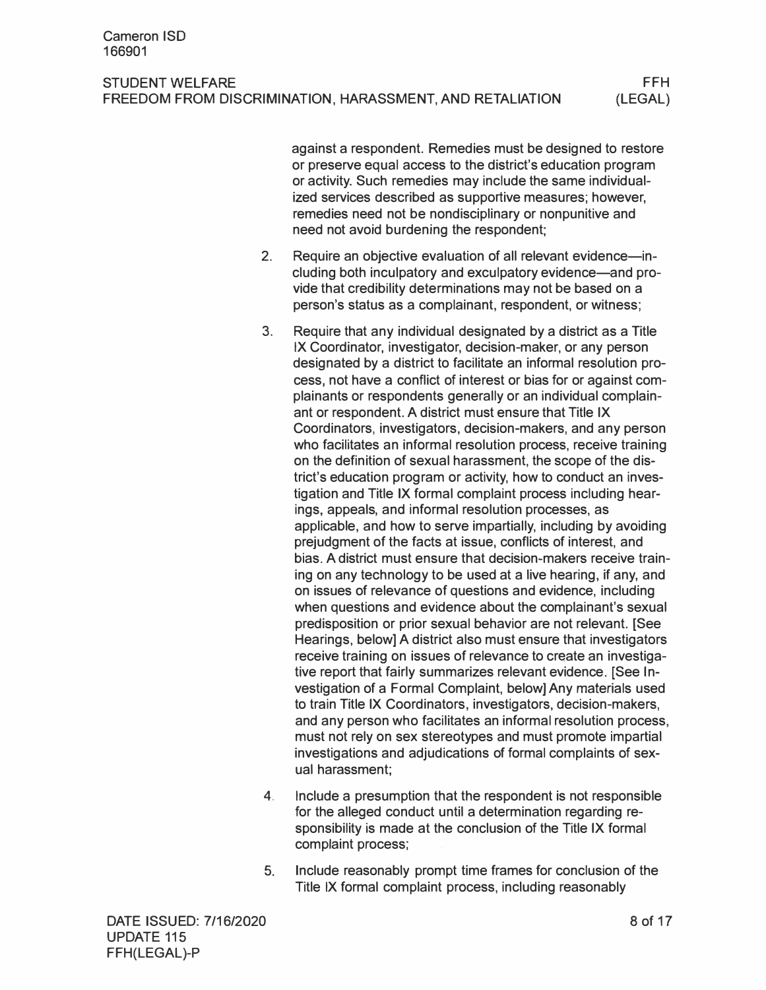against a respondent. Remedies must be designed to restore or preserve equal access to the district's education program or activity. Such remedies may include the same individualized services described as supportive measures; however, remedies need not be nondisciplinary or nonpunitive and need not avoid burdening the respondent;

- 2. Require an objective evaluation of all relevant evidence-including both inculpatory and exculpatory evidence—and provide that credibility determinations may not be based on a person's status as a complainant, respondent, or witness;
- 3. Require that any individual designated by a district as a Title IX Coordinator, investigator, decision-maker, or any person designated by a district to facilitate an informal resolution process, not have a conflict of interest or bias for or against complainants or respondents generally or an individual complainant or respondent. A district must ensure that Title IX Coordinators, investigators, decision-makers, and any person who facilitates an informal resolution process, receive training on the definition of sexual harassment, the scope of the district's education program or activity, how to conduct an investigation and Title IX formal complaint process including hearings, appeals, and informal resolution processes, as applicable, and how to serve impartially, including by avoiding prejudgment of the facts at issue, conflicts of interest, and bias. A district must ensure that decision-makers receive training on any technology to be used at a live hearing, if any, and on issues of relevance of questions and evidence, including when questions and evidence about the complainant's sexual predisposition or prior sexual behavior are not relevant. [See Hearings, below] A district also must ensure that investigators receive training on issues of relevance to create an investigative report that fairly summarizes relevant evidence. [See Investigation of a Formal Complaint, below] Any materials used to train Title IX Coordinators, investigators, decision-makers, and any person who facilitates an informal resolution process, must not rely on sex stereotypes and must promote impartial investigations and adjudications of formal complaints of sexual harassment;
- 4. Include a presumption that the respondent is not responsible for the alleged conduct until a determination regarding responsibility is made at the conclusion of the Title IX formal complaint process;
- 5. Include reasonably prompt time frames for conclusion of the Title IX formal complaint process, including reasonably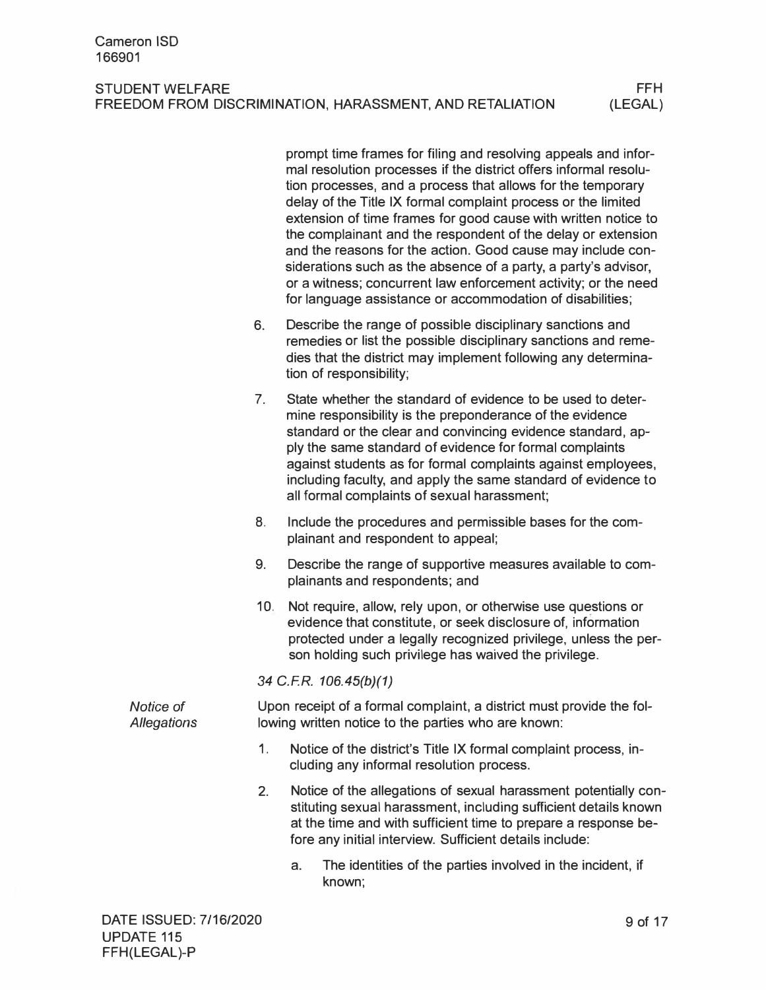|                                 |                 | prompt time frames for filing and resolving appeals and infor-<br>mal resolution processes if the district offers informal resolu-<br>tion processes, and a process that allows for the temporary<br>delay of the Title IX formal complaint process or the limited<br>extension of time frames for good cause with written notice to<br>the complainant and the respondent of the delay or extension<br>and the reasons for the action. Good cause may include con-<br>siderations such as the absence of a party, a party's advisor,<br>or a witness; concurrent law enforcement activity; or the need<br>for language assistance or accommodation of disabilities; |
|---------------------------------|-----------------|----------------------------------------------------------------------------------------------------------------------------------------------------------------------------------------------------------------------------------------------------------------------------------------------------------------------------------------------------------------------------------------------------------------------------------------------------------------------------------------------------------------------------------------------------------------------------------------------------------------------------------------------------------------------|
|                                 | 6.              | Describe the range of possible disciplinary sanctions and<br>remedies or list the possible disciplinary sanctions and reme-<br>dies that the district may implement following any determina-<br>tion of responsibility;                                                                                                                                                                                                                                                                                                                                                                                                                                              |
|                                 | 7 <sub>1</sub>  | State whether the standard of evidence to be used to deter-<br>mine responsibility is the preponderance of the evidence<br>standard or the clear and convincing evidence standard, ap-<br>ply the same standard of evidence for formal complaints<br>against students as for formal complaints against employees,<br>including faculty, and apply the same standard of evidence to<br>all formal complaints of sexual harassment;                                                                                                                                                                                                                                    |
|                                 | 8.              | Include the procedures and permissible bases for the com-<br>plainant and respondent to appeal;                                                                                                                                                                                                                                                                                                                                                                                                                                                                                                                                                                      |
|                                 | 9.              | Describe the range of supportive measures available to com-<br>plainants and respondents; and                                                                                                                                                                                                                                                                                                                                                                                                                                                                                                                                                                        |
|                                 | 10 <sub>1</sub> | Not require, allow, rely upon, or otherwise use questions or<br>evidence that constitute, or seek disclosure of, information<br>protected under a legally recognized privilege, unless the per-<br>son holding such privilege has waived the privilege.                                                                                                                                                                                                                                                                                                                                                                                                              |
|                                 |                 | 34 C.F.R. 106.45(b)(1)                                                                                                                                                                                                                                                                                                                                                                                                                                                                                                                                                                                                                                               |
| Notice of<br><b>Allegations</b> |                 | Upon receipt of a formal complaint, a district must provide the fol-<br>lowing written notice to the parties who are known:                                                                                                                                                                                                                                                                                                                                                                                                                                                                                                                                          |
|                                 | 1 <sub>1</sub>  | Notice of the district's Title IX formal complaint process, in-<br>cluding any informal resolution process.                                                                                                                                                                                                                                                                                                                                                                                                                                                                                                                                                          |
|                                 | 2.              | Notice of the allegations of sexual harassment potentially con-<br>stituting sexual harassment, including sufficient details known<br>at the time and with sufficient time to prepare a response be-<br>fore any initial interview. Sufficient details include:                                                                                                                                                                                                                                                                                                                                                                                                      |
|                                 |                 | The identities of the parties involved in the incident, if<br>a.<br>known;                                                                                                                                                                                                                                                                                                                                                                                                                                                                                                                                                                                           |

FFH (LEGAL)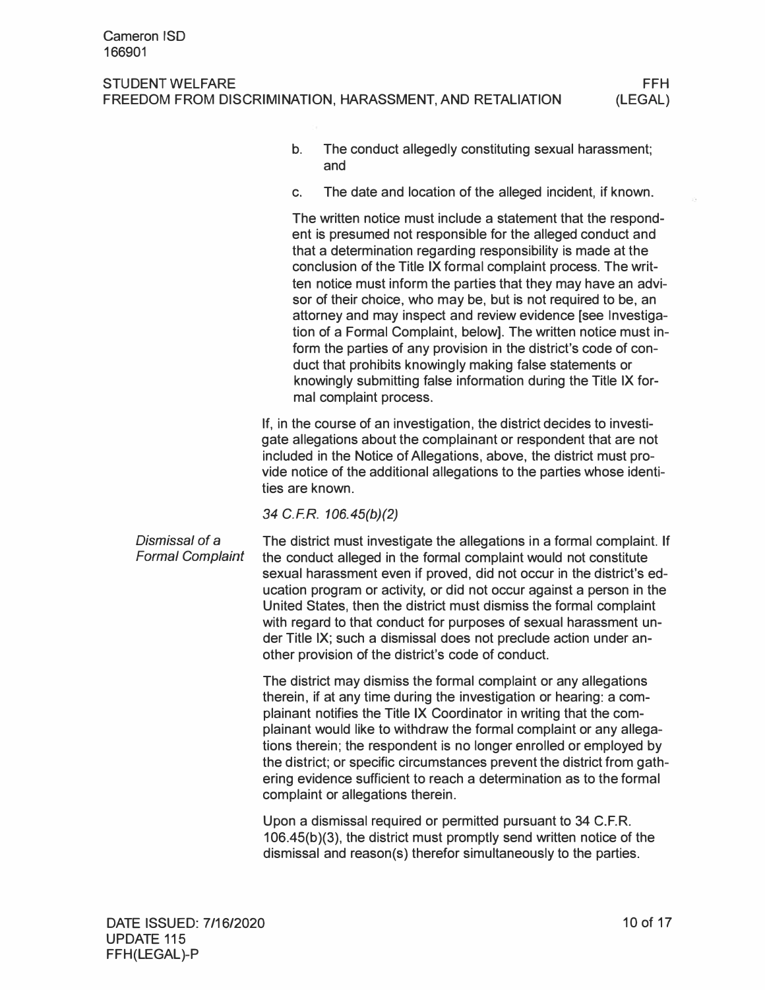- b. The conduct allegedly constituting sexual harassment; and
- c. The date and location of the alleged incident, if known.

The written notice must include a statement that the respondent is presumed not responsible for the alleged conduct and that a determination regarding responsibility is made at the conclusion of the Title IX formal complaint process. The written notice must inform the parties that they may have an advisor of their choice, who may be, but is not required to be, an attorney and may inspect and review evidence [see Investigation of a Formal Complaint, below]. The written notice must inform the parties of any provision in the district's code of conduct that prohibits knowingly making false statements or knowingly submitting false information during the Title IX formal complaint process.

If, in the course of an investigation, the district decides to investigate allegations about the complainant or respondent that are not included in the Notice of Allegations, above, the district must provide notice of the additional allegations to the parties whose identities are known.

*34 C.FR. 106.45(b)(2)* 

*Dismissal of* a *Formal Complaint*  The district must investigate the allegations in a formal complaint. If the conduct alleged in the formal complaint would not constitute sexual harassment even if proved, did not occur in the district's education program or activity, or did not occur against a person in the United States, then the district must dismiss the formal complaint with regard to that conduct for purposes of sexual harassment under Title IX; such a dismissal does not preclude action under another provision of the district's code of conduct.

> The district may dismiss the formal complaint or any allegations therein, if at any time during the investigation or hearing: a complainant notifies the Title IX Coordinator in writing that the complainant would like to withdraw the formal complaint or any allegations therein; the respondent is no longer enrolled or employed by the district; or specific circumstances prevent the district from gathering evidence sufficient to reach a determination as to the formal complaint or allegations therein.

Upon a dismissal required or permitted pursuant to 34 C.F.R. 106.45(b)(3), the district must promptly send written notice of the dismissal and reason(s) therefor simultaneously to the parties.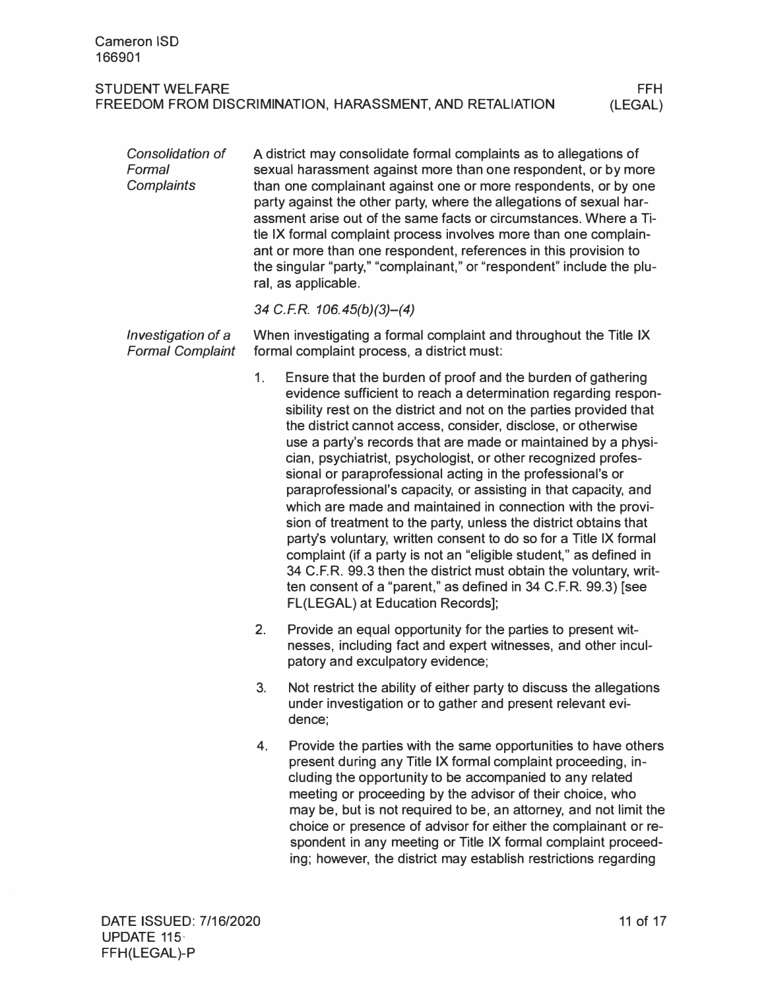| Consolidation of<br>Formal<br><b>Complaints</b> |                | A district may consolidate formal complaints as to allegations of<br>sexual harassment against more than one respondent, or by more<br>than one complainant against one or more respondents, or by one<br>party against the other party, where the allegations of sexual har-<br>assment arise out of the same facts or circumstances. Where a Ti-<br>tle IX formal complaint process involves more than one complain-<br>ant or more than one respondent, references in this provision to<br>the singular "party," "complainant," or "respondent" include the plu-<br>ral, as applicable.                                                                                                                                                                                                                                                                                                                                                                                                    |
|-------------------------------------------------|----------------|-----------------------------------------------------------------------------------------------------------------------------------------------------------------------------------------------------------------------------------------------------------------------------------------------------------------------------------------------------------------------------------------------------------------------------------------------------------------------------------------------------------------------------------------------------------------------------------------------------------------------------------------------------------------------------------------------------------------------------------------------------------------------------------------------------------------------------------------------------------------------------------------------------------------------------------------------------------------------------------------------|
|                                                 |                | 34 C.F.R. $106.45(b)(3)–(4)$                                                                                                                                                                                                                                                                                                                                                                                                                                                                                                                                                                                                                                                                                                                                                                                                                                                                                                                                                                  |
| Investigation of a<br><b>Formal Complaint</b>   |                | When investigating a formal complaint and throughout the Title IX<br>formal complaint process, a district must:                                                                                                                                                                                                                                                                                                                                                                                                                                                                                                                                                                                                                                                                                                                                                                                                                                                                               |
|                                                 | 1 <sub>1</sub> | Ensure that the burden of proof and the burden of gathering<br>evidence sufficient to reach a determination regarding respon-<br>sibility rest on the district and not on the parties provided that<br>the district cannot access, consider, disclose, or otherwise<br>use a party's records that are made or maintained by a physi-<br>cian, psychiatrist, psychologist, or other recognized profes-<br>sional or paraprofessional acting in the professional's or<br>paraprofessional's capacity, or assisting in that capacity, and<br>which are made and maintained in connection with the provi-<br>sion of treatment to the party, unless the district obtains that<br>party's voluntary, written consent to do so for a Title IX formal<br>complaint (if a party is not an "eligible student," as defined in<br>34 C.F.R. 99.3 then the district must obtain the voluntary, writ-<br>ten consent of a "parent," as defined in 34 C.F.R. 99.3) [see<br>FL(LEGAL) at Education Records]; |
|                                                 | 2.             | Provide an equal opportunity for the parties to present wit-<br>nesses, including fact and expert witnesses, and other incul-<br>patory and exculpatory evidence;                                                                                                                                                                                                                                                                                                                                                                                                                                                                                                                                                                                                                                                                                                                                                                                                                             |
|                                                 | 3.             | Not restrict the ability of either party to discuss the allegations<br>under investigation or to gather and present relevant evi-<br>dence;                                                                                                                                                                                                                                                                                                                                                                                                                                                                                                                                                                                                                                                                                                                                                                                                                                                   |
|                                                 | 4.             | Provide the parties with the same opportunities to have others<br>present during any Title IX formal complaint proceeding, in-<br>cluding the opportunity to be accompanied to any related<br>meeting or proceeding by the advisor of their choice, who<br>may be, but is not required to be, an attorney, and not limit the<br>choice or presence of advisor for either the complainant or re-<br>spondent in any meeting or Title IX formal complaint proceed-<br>ing; however, the district may establish restrictions regarding                                                                                                                                                                                                                                                                                                                                                                                                                                                           |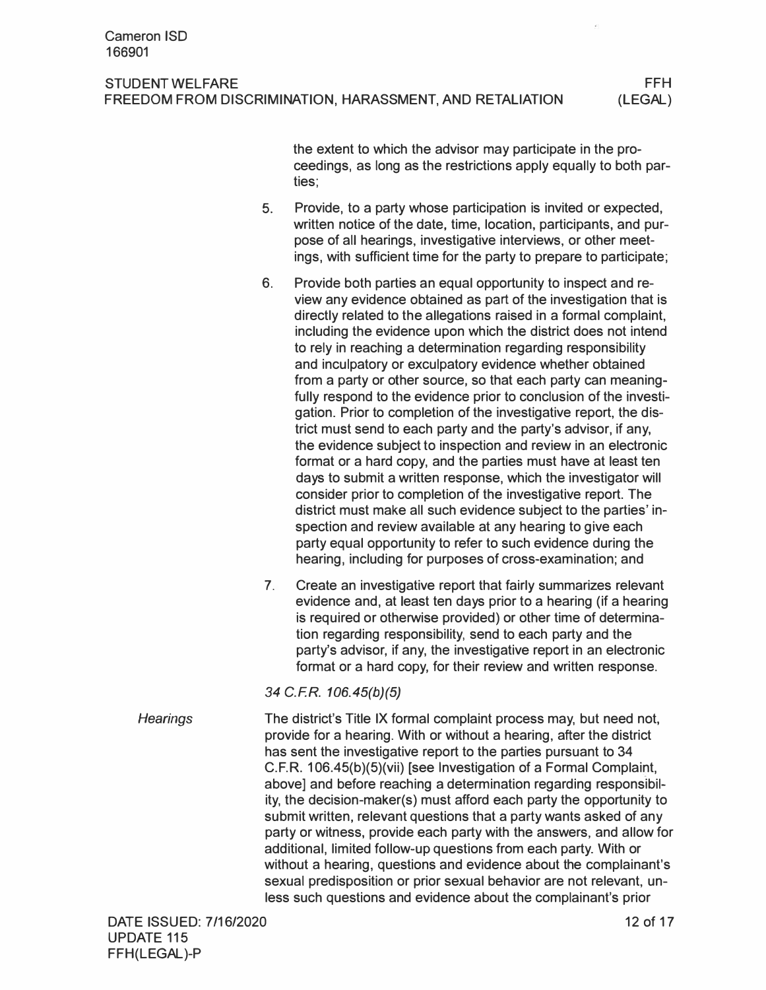the extent to which the advisor may participate in the proceedings, as long as the restrictions apply equally to both parties;

- 5. Provide, to a party whose participation is invited or expected, written notice of the date, time, location, participants, and purpose of all hearings, investigative interviews, or other meetings, with sufficient time for the party to prepare to participate;
- 6. Provide both parties an equal opportunity to inspect and review any evidence obtained as part of the investigation that is directly related to the allegations raised in a formal complaint, including the evidence upon which the district does not intend to rely in reaching a determination regarding responsibility and inculpatory or exculpatory evidence whether obtained from a party or other source, so that each party can meaningfully respond to the evidence prior to conclusion of the investigation. Prior to completion of the investigative report, the district must send to each party and the party's advisor, if any, the evidence subject to inspection and review in an electronic format or a hard copy, and the parties must have at least ten days to submit a written response, which the investigator will consider prior to completion of the investigative report. The district must make all such evidence subject to the parties' inspection and review available at any hearing to give each party equal opportunity to refer to such evidence during the hearing, including for purposes of cross-examination; and
- 7. Create an investigative report that fairly summarizes relevant evidence and, at least ten days prior to a hearing (if a hearing is required or otherwise provided) or other time of determination regarding responsibility, send to each party and the party's advisor, if any, the investigative report in an electronic format or a hard copy, for their review and written response.

*34 C.F.R. 106.45(b)(5)* 

*Hearings*  The district's Title IX formal complaint process may, but need not, provide for a hearing. With or without a hearing, after the district has sent the investigative report to the parties pursuant to 34 C.F.R. 106.45(b)(5)(vii) [see Investigation of a Formal Complaint, above] and before reaching a determination regarding responsibility, the decision-maker(s) must afford each party the opportunity to submit written, relevant questions that a party wants asked of any party or witness, provide each party with the answers, and allow for additional, limited follow-up questions from each party. With or without a hearing, questions and evidence about the complainant's sexual predisposition or prior sexual behavior are not relevant, unless such questions and evidence about the complainant's prior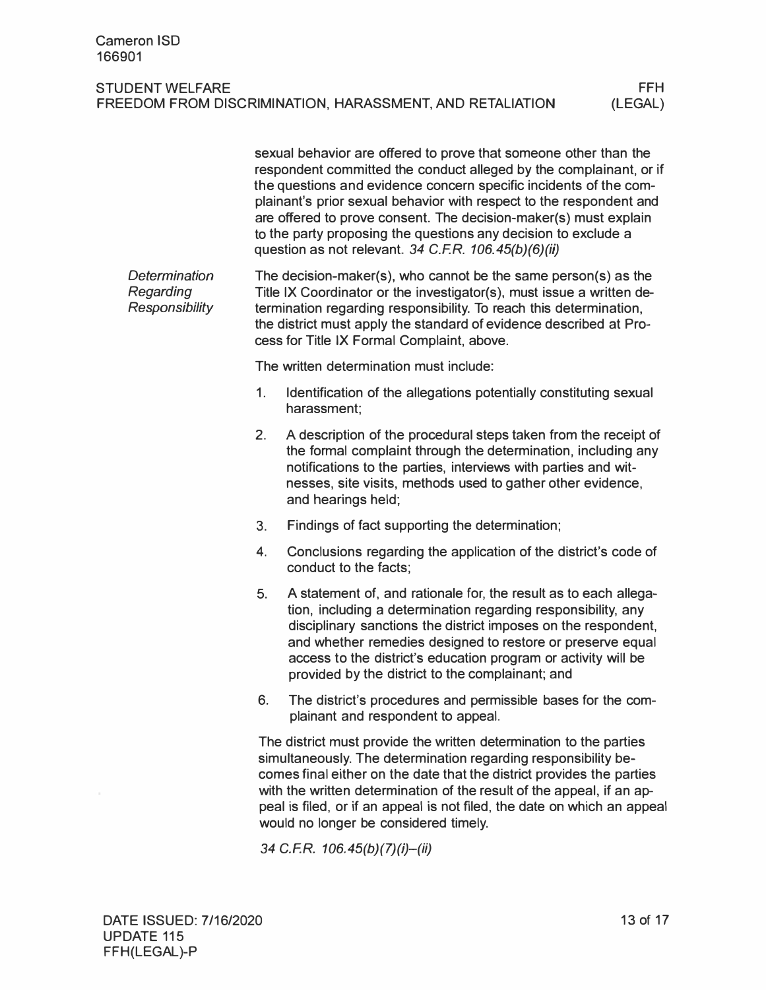|                                                     |                | sexual behavior are offered to prove that someone other than the<br>respondent committed the conduct alleged by the complainant, or if<br>the questions and evidence concern specific incidents of the com-<br>plainant's prior sexual behavior with respect to the respondent and<br>are offered to prove consent. The decision-maker(s) must explain<br>to the party proposing the questions any decision to exclude a<br>question as not relevant. 34 C.F.R. 106.45(b)(6)(ii) |
|-----------------------------------------------------|----------------|----------------------------------------------------------------------------------------------------------------------------------------------------------------------------------------------------------------------------------------------------------------------------------------------------------------------------------------------------------------------------------------------------------------------------------------------------------------------------------|
| Determination<br>Regarding<br><b>Responsibility</b> |                | The decision-maker(s), who cannot be the same person(s) as the<br>Title IX Coordinator or the investigator(s), must issue a written de-<br>termination regarding responsibility. To reach this determination,<br>the district must apply the standard of evidence described at Pro-<br>cess for Title IX Formal Complaint, above.                                                                                                                                                |
|                                                     |                | The written determination must include:                                                                                                                                                                                                                                                                                                                                                                                                                                          |
|                                                     | 1 <sub>1</sub> | Identification of the allegations potentially constituting sexual<br>harassment;                                                                                                                                                                                                                                                                                                                                                                                                 |
|                                                     | 2.             | A description of the procedural steps taken from the receipt of<br>the formal complaint through the determination, including any<br>notifications to the parties, interviews with parties and wit-<br>nesses, site visits, methods used to gather other evidence,<br>and hearings held;                                                                                                                                                                                          |
|                                                     | 3.             | Findings of fact supporting the determination;                                                                                                                                                                                                                                                                                                                                                                                                                                   |
|                                                     | 4.             | Conclusions regarding the application of the district's code of<br>conduct to the facts;                                                                                                                                                                                                                                                                                                                                                                                         |
|                                                     | 5.             | A statement of, and rationale for, the result as to each allega-<br>tion, including a determination regarding responsibility, any<br>disciplinary sanctions the district imposes on the respondent,<br>and whether remedies designed to restore or preserve equal<br>access to the district's education program or activity will be<br>provided by the district to the complainant; and                                                                                          |
|                                                     | 6.             | The district's procedures and permissible bases for the com-<br>plainant and respondent to appeal.                                                                                                                                                                                                                                                                                                                                                                               |
|                                                     |                | The district must provide the written determination to the parties<br>simultaneously. The determination regarding responsibility be-<br>comes final either on the date that the district provides the parties<br>with the written determination of the result of the appeal, if an ap-<br>peal is filed, or if an appeal is not filed, the date on which an appeal<br>would no longer be considered timely.                                                                      |
|                                                     |                | 34 C.F.R. 106.45(b)(7)(i)-(ii)                                                                                                                                                                                                                                                                                                                                                                                                                                                   |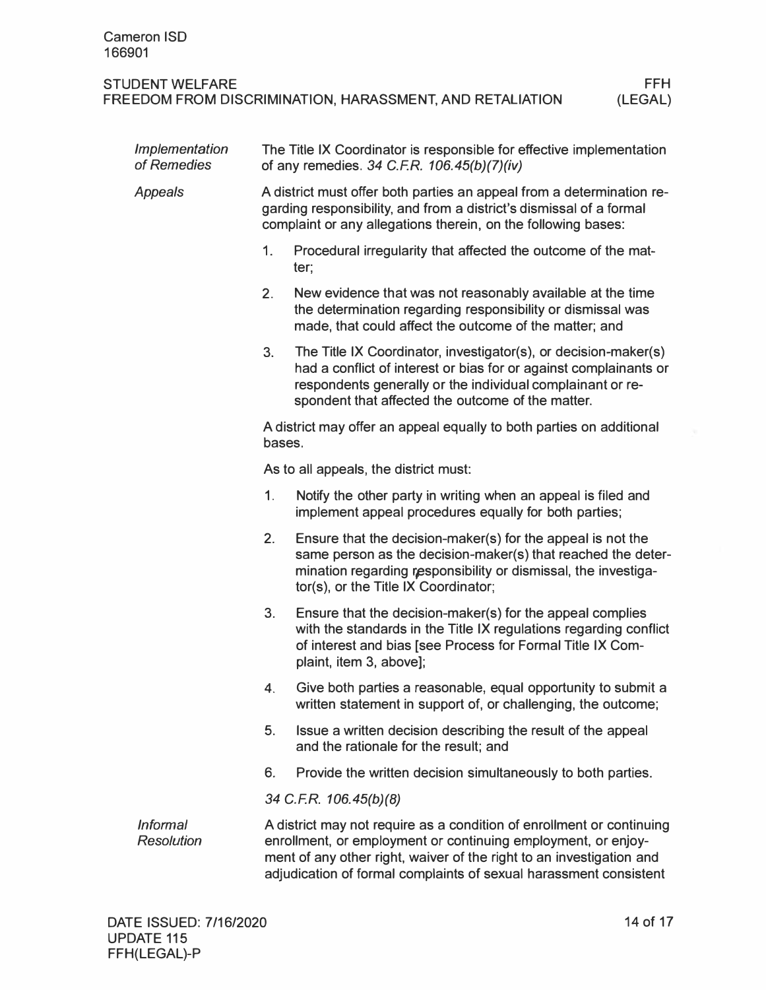| Implementation<br>of Remedies        |        | The Title IX Coordinator is responsible for effective implementation<br>of any remedies. 34 C.F.R. 106.45(b)(7)(iv)                                                                                                                                                                 |  |  |  |
|--------------------------------------|--------|-------------------------------------------------------------------------------------------------------------------------------------------------------------------------------------------------------------------------------------------------------------------------------------|--|--|--|
| Appeals                              |        | A district must offer both parties an appeal from a determination re-<br>garding responsibility, and from a district's dismissal of a formal<br>complaint or any allegations therein, on the following bases:                                                                       |  |  |  |
|                                      | 1.     | Procedural irregularity that affected the outcome of the mat-<br>ter;                                                                                                                                                                                                               |  |  |  |
|                                      | 2.     | New evidence that was not reasonably available at the time<br>the determination regarding responsibility or dismissal was<br>made, that could affect the outcome of the matter; and                                                                                                 |  |  |  |
|                                      | 3.     | The Title IX Coordinator, investigator(s), or decision-maker(s)<br>had a conflict of interest or bias for or against complainants or<br>respondents generally or the individual complainant or re-<br>spondent that affected the outcome of the matter.                             |  |  |  |
|                                      | bases. | A district may offer an appeal equally to both parties on additional                                                                                                                                                                                                                |  |  |  |
|                                      |        | As to all appeals, the district must:                                                                                                                                                                                                                                               |  |  |  |
|                                      | 1.     | Notify the other party in writing when an appeal is filed and<br>implement appeal procedures equally for both parties;                                                                                                                                                              |  |  |  |
|                                      | 2.     | Ensure that the decision-maker(s) for the appeal is not the<br>same person as the decision-maker(s) that reached the deter-<br>mination regarding responsibility or dismissal, the investiga-<br>tor(s), or the Title IX Coordinator;                                               |  |  |  |
|                                      | 3.     | Ensure that the decision-maker(s) for the appeal complies<br>with the standards in the Title IX regulations regarding conflict<br>of interest and bias [see Process for Formal Title IX Com-<br>plaint, item 3, above];                                                             |  |  |  |
|                                      | 4.     | Give both parties a reasonable, equal opportunity to submit a<br>written statement in support of, or challenging, the outcome;                                                                                                                                                      |  |  |  |
|                                      | 5.     | Issue a written decision describing the result of the appeal<br>and the rationale for the result; and                                                                                                                                                                               |  |  |  |
|                                      | 6.     | Provide the written decision simultaneously to both parties.                                                                                                                                                                                                                        |  |  |  |
|                                      |        | 34 C.F.R. 106.45(b)(8)                                                                                                                                                                                                                                                              |  |  |  |
| <b>Informal</b><br><b>Resolution</b> |        | A district may not require as a condition of enrollment or continuing<br>enrollment, or employment or continuing employment, or enjoy-<br>ment of any other right, waiver of the right to an investigation and<br>adjudication of formal complaints of sexual harassment consistent |  |  |  |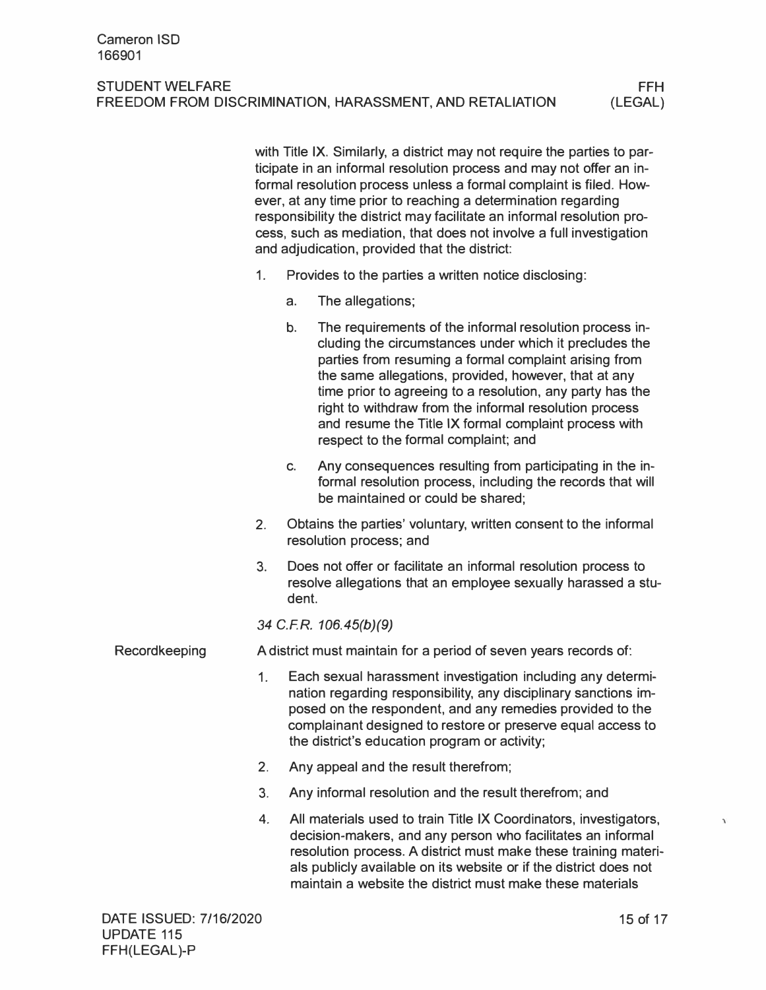with Title IX. Similarly, a district may not require the parties to participate in an informal resolution process and may not offer an informal resolution process unless a formal complaint is filed. However, at any time prior to reaching a determination regarding responsibility the district may facilitate an informal resolution process, such as mediation, that does not involve a full investigation and adjudication, provided that the district:

- 1. Provides to the parties a written notice disclosing:
	- a. The allegations;
	- b. The requirements of the informal resolution process including the circumstances under which it precludes the parties from resuming a formal complaint arising from the same allegations, provided, however, that at any time prior to agreeing to a resolution, any party has the right to withdraw from the informal resolution process and resume the Title IX formal complaint process with respect to the formal complaint; and
	- c. Any consequences resulting from participating in the informal resolution process, including the records that will be maintained or could be shared;
- 2. Obtains the parties' voluntary, written consent to the informal resolution process; and
- 3. Does not offer or facilitate an informal resolution process to resolve allegations that an employee sexually harassed a student.

*34 C.FR. 106.45(b)(9)* 

Recordkeeping A district must maintain for a period of seven years records of:

- 1. Each sexual harassment investigation including any determination regarding responsibility, any disciplinary sanctions imposed on the respondent, and any remedies provided to the complainant designed to restore or preserve equal access to the district's education program or activity;
- 2. Any appeal and the result therefrom;
- 3. Any informal resolution and the result therefrom; and
- 4. All materials used to train Title IX Coordinators, investigators, decision-makers, and any person who facilitates an informal resolution process. A district must make these training materials publicly available on its website or if the district does not maintain a website the district must make these materials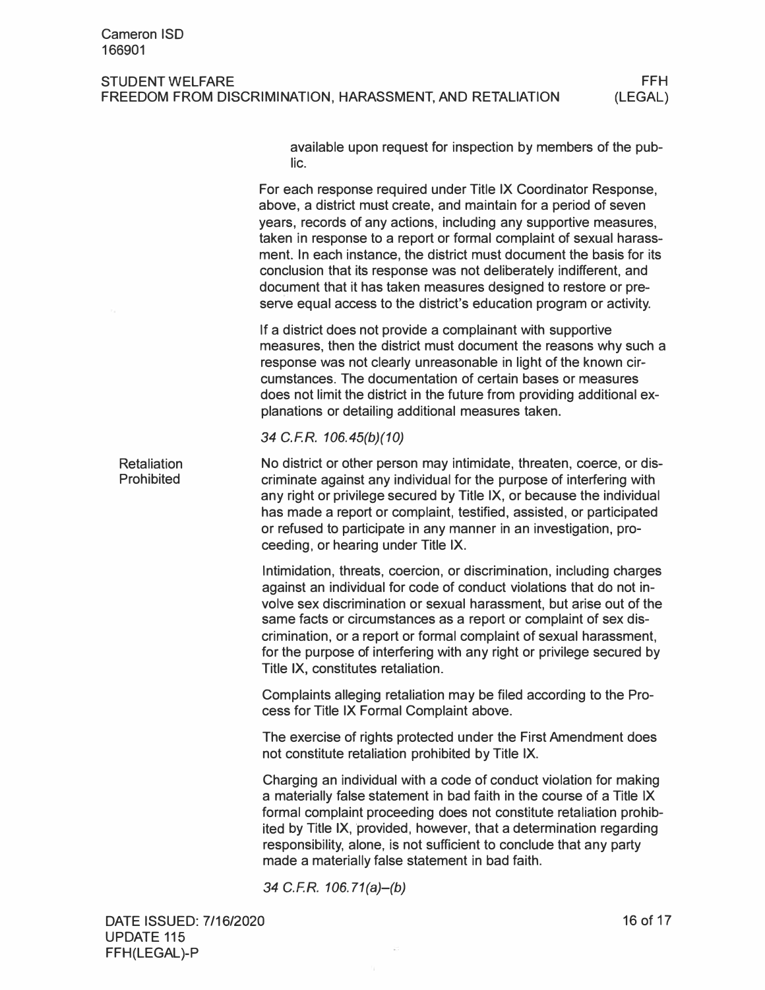available upon request for inspection by members of the public.

For each response required under Title IX Coordinator Response, above, a district must create, and maintain for a period of seven years, records of any actions, including any supportive measures, taken in response to a report or formal complaint of sexual harassment. In each instance, the district must document the basis for its conclusion that its response was not deliberately indifferent, and document that it has taken measures designed to restore or preserve equal access to the district's education program or activity.

If a district does not provide a complainant with supportive measures, then the district must document the reasons why such a response was not clearly unreasonable in light of the known circumstances. The documentation of certain bases or measures does not limit the district in the future from providing additional explanations or detailing additional measures taken.

*34 C.F.R. 106.45(b)(10)* 

**Retaliation** Prohibited No district or other person may intimidate, threaten, coerce, or discriminate against any individual for the purpose of interfering with any right or privilege secured by Title IX, or because the individual has made a report or complaint, testified, assisted, or participated or refused to participate in any manner in an investigation, proceeding, or hearing under Title IX.

> Intimidation, threats, coercion, or discrimination, including charges against an individual for code of conduct violations that do not involve sex discrimination or sexual harassment, but arise out of the same facts or circumstances as a report or complaint of sex discrimination, or a report or formal complaint of sexual harassment, for the purpose of interfering with any right or privilege secured by Title IX, constitutes retaliation.

Complaints alleging retaliation may be filed according to the Process for Title IX Formal Complaint above.

The exercise of rights protected under the First Amendment does not constitute retaliation prohibited by Title IX.

Charging an individual with a code of conduct violation for making a materially false statement in bad faith in the course of a Title IX formal complaint proceeding does not constitute retaliation prohibited by Title IX, provided, however, that a determination regarding responsibility, alone, is not sufficient to conclude that any party made a materially false statement in bad faith.

*34 C.F.R. 106. 71(a)-(b)*